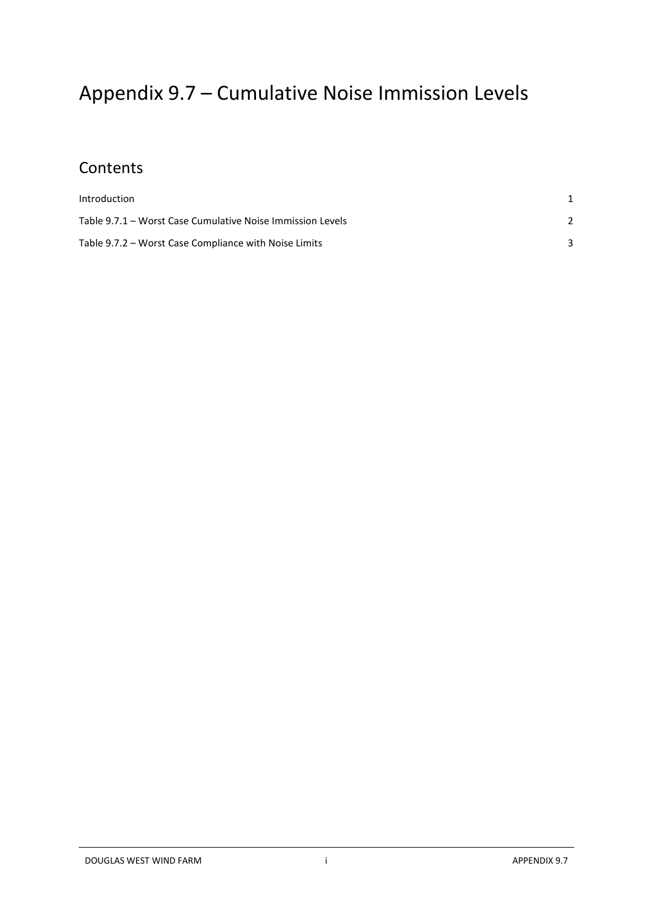# Appendix 9.7 – Cumulative Noise Immission Levels

### **Contents**

| Introduction                                               | ◢ |
|------------------------------------------------------------|---|
| Table 9.7.1 – Worst Case Cumulative Noise Immission Levels |   |
| Table 9.7.2 – Worst Case Compliance with Noise Limits      | ┑ |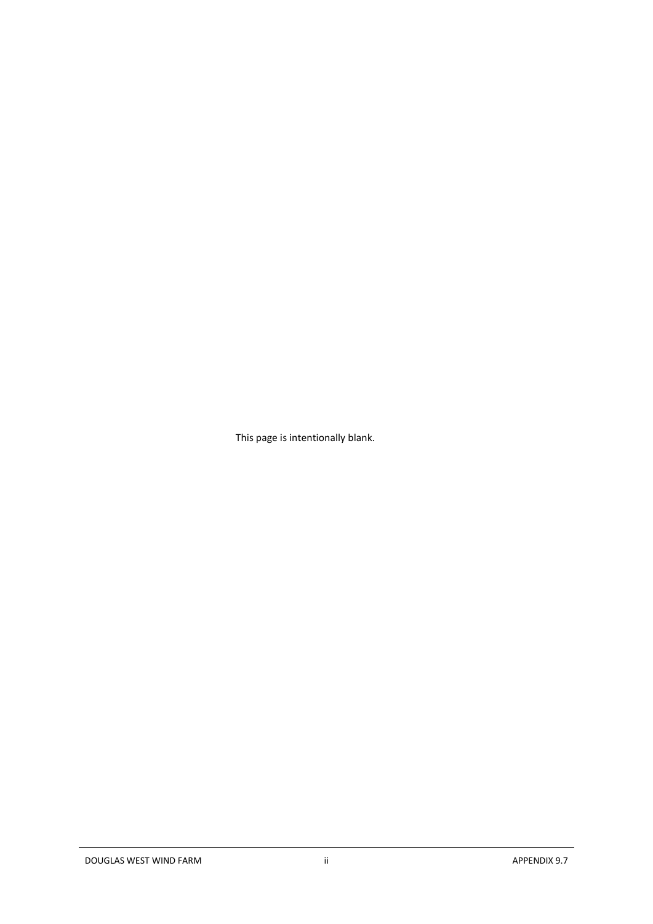This page is intentionally blank.

DOUGLAS WEST WIND FARM **ii APPENDIX 9.7**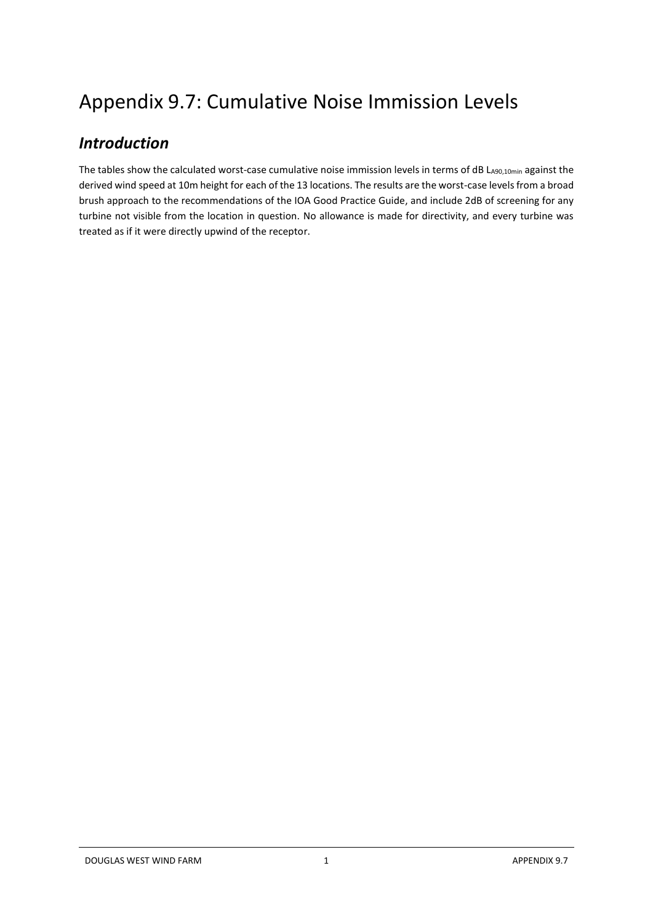# Appendix 9.7: Cumulative Noise Immission Levels

### <span id="page-2-0"></span>*Introduction*

The tables show the calculated worst-case cumulative noise immission levels in terms of dB LA90,10min against the derived wind speed at 10m height for each of the 13 locations. The results are the worst-case levels from a broad brush approach to the recommendations of the IOA Good Practice Guide, and include 2dB of screening for any turbine not visible from the location in question. No allowance is made for directivity, and every turbine was treated as if it were directly upwind of the receptor.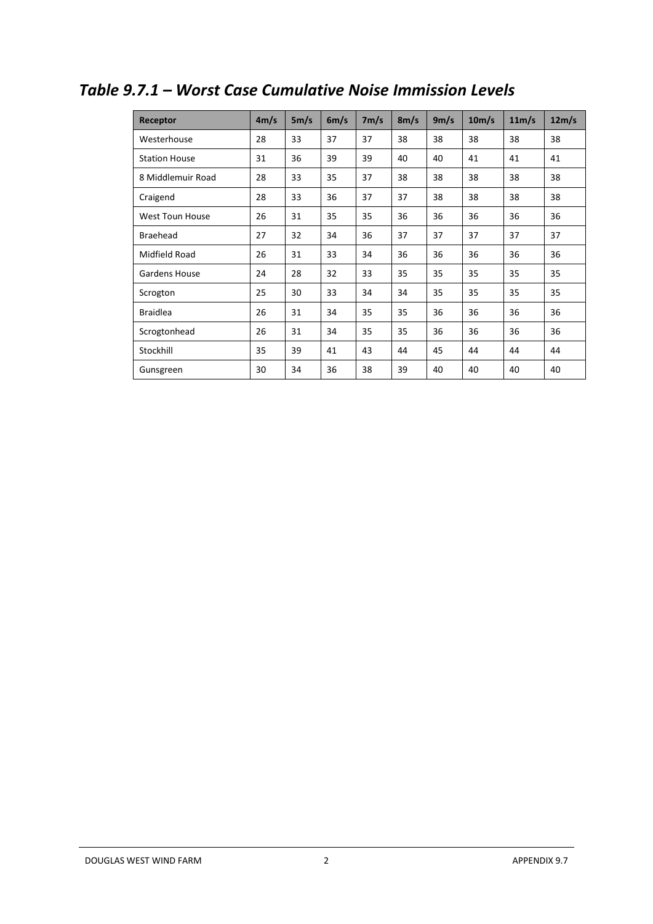| Receptor               | 4m/s | 5m/s | 6m/s | 7m/s | 8m/s | 9m/s | 10 <sub>m</sub> /s | 11m/s | 12m/s |
|------------------------|------|------|------|------|------|------|--------------------|-------|-------|
| Westerhouse            | 28   | 33   | 37   | 37   | 38   | 38   | 38                 | 38    | 38    |
| <b>Station House</b>   | 31   | 36   | 39   | 39   | 40   | 40   | 41                 | 41    | 41    |
| 8 Middlemuir Road      | 28   | 33   | 35   | 37   | 38   | 38   | 38                 | 38    | 38    |
| Craigend               | 28   | 33   | 36   | 37   | 37   | 38   | 38                 | 38    | 38    |
| <b>West Toun House</b> | 26   | 31   | 35   | 35   | 36   | 36   | 36                 | 36    | 36    |
| <b>Braehead</b>        | 27   | 32   | 34   | 36   | 37   | 37   | 37                 | 37    | 37    |
| Midfield Road          | 26   | 31   | 33   | 34   | 36   | 36   | 36                 | 36    | 36    |
| <b>Gardens House</b>   | 24   | 28   | 32   | 33   | 35   | 35   | 35                 | 35    | 35    |
| Scrogton               | 25   | 30   | 33   | 34   | 34   | 35   | 35                 | 35    | 35    |
| <b>Braidlea</b>        | 26   | 31   | 34   | 35   | 35   | 36   | 36                 | 36    | 36    |
| Scrogtonhead           | 26   | 31   | 34   | 35   | 35   | 36   | 36                 | 36    | 36    |
| Stockhill              | 35   | 39   | 41   | 43   | 44   | 45   | 44                 | 44    | 44    |
| Gunsgreen              | 30   | 34   | 36   | 38   | 39   | 40   | 40                 | 40    | 40    |

### <span id="page-3-0"></span>*Table 9.7.1 – Worst Case Cumulative Noise Immission Levels*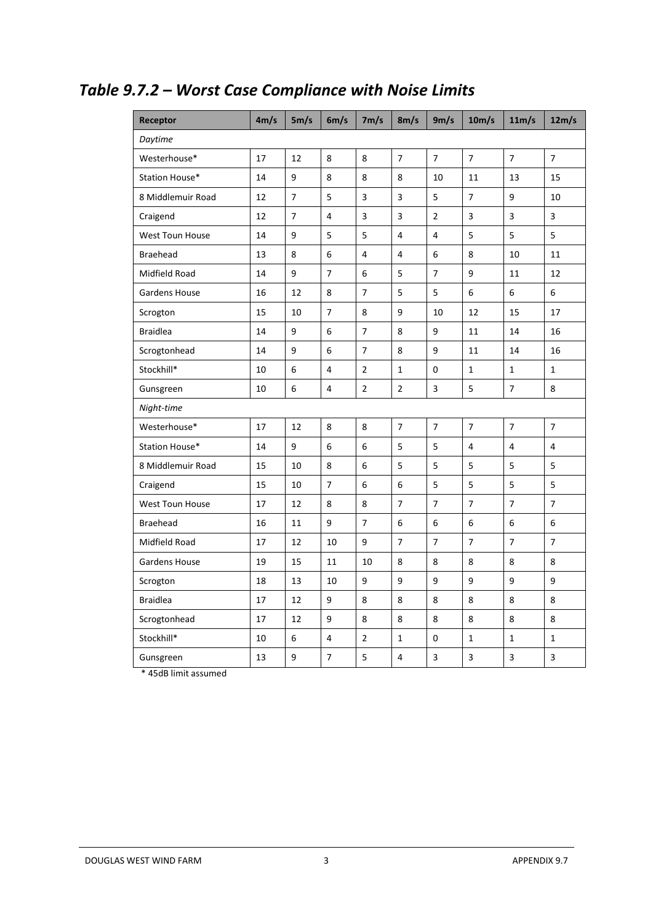<span id="page-4-0"></span>

| Table 9.7.2 - Worst Case Compliance with Noise Limits |  |  |  |  |
|-------------------------------------------------------|--|--|--|--|
|-------------------------------------------------------|--|--|--|--|

| Receptor          | 4m/s | 5m/s           | 6m/s           | 7m/s           | 8m/s                    | 9m/s           | 10 <sub>m</sub> /s      | 11m/s                   | 12m/s          |
|-------------------|------|----------------|----------------|----------------|-------------------------|----------------|-------------------------|-------------------------|----------------|
| Daytime           |      |                |                |                |                         |                |                         |                         |                |
| Westerhouse*      | 17   | 12             | 8              | 8              | $\overline{7}$          | $\overline{7}$ | $\overline{7}$          | $\overline{7}$          | $\overline{7}$ |
| Station House*    | 14   | 9              | 8              | 8              | 8                       | 10             | 11                      | 13                      | 15             |
| 8 Middlemuir Road | 12   | $\overline{7}$ | 5              | 3              | $\overline{\mathbf{3}}$ | 5              | $\overline{7}$          | 9                       | 10             |
| Craigend          | 12   | $\overline{7}$ | 4              | 3              | 3                       | $\overline{2}$ | 3                       | $\overline{\mathbf{3}}$ | 3              |
| West Toun House   | 14   | 9              | 5              | 5              | $\overline{4}$          | $\overline{4}$ | 5                       | 5                       | 5              |
| <b>Braehead</b>   | 13   | 8              | 6              | 4              | 4                       | 6              | 8                       | 10                      | 11             |
| Midfield Road     | 14   | 9              | 7              | 6              | 5                       | $\overline{7}$ | 9                       | 11                      | 12             |
| Gardens House     | 16   | 12             | 8              | $\overline{7}$ | 5                       | 5              | $\,6\,$                 | 6                       | 6              |
| Scrogton          | 15   | 10             | $\overline{7}$ | 8              | 9                       | 10             | 12                      | 15                      | 17             |
| <b>Braidlea</b>   | 14   | 9              | 6              | $\overline{7}$ | 8                       | 9              | 11                      | 14                      | 16             |
| Scrogtonhead      | 14   | 9              | 6              | $\overline{7}$ | 8                       | 9              | 11                      | 14                      | 16             |
| Stockhill*        | 10   | 6              | $\overline{4}$ | $\overline{2}$ | $\mathbf{1}$            | $\mathbf 0$    | $\mathbf{1}$            | $\mathbf{1}$            | $\mathbf 1$    |
| Gunsgreen         | 10   | 6              | 4              | $\overline{2}$ | $\overline{2}$          | $\overline{3}$ | 5                       | 7                       | 8              |
| Night-time        |      |                |                |                |                         |                |                         |                         |                |
| Westerhouse*      | 17   | 12             | 8              | 8              | 7                       | $\overline{7}$ | $\overline{7}$          | 7                       | $\overline{7}$ |
| Station House*    | 14   | 9              | 6              | 6              | 5                       | 5              | 4                       | 4                       | 4              |
| 8 Middlemuir Road | 15   | 10             | 8              | 6              | 5                       | 5              | 5                       | 5                       | 5              |
| Craigend          | 15   | 10             | 7              | 6              | 6                       | 5              | 5                       | 5                       | 5              |
| West Toun House   | 17   | 12             | 8              | 8              | $\overline{7}$          | $\overline{7}$ | $\overline{7}$          | 7                       | $\overline{7}$ |
| <b>Braehead</b>   | 16   | 11             | 9              | $\overline{7}$ | 6                       | 6              | 6                       | 6                       | 6              |
| Midfield Road     | 17   | 12             | 10             | 9              | 7                       | $\overline{7}$ | $\overline{7}$          | 7                       | 7              |
| Gardens House     | 19   | 15             | 11             | 10             | 8                       | 8              | 8                       | 8                       | 8              |
| Scrogton          | 18   | 13             | 10             | 9              | 9                       | 9              | 9                       | 9                       | 9              |
| <b>Braidlea</b>   | 17   | 12             | 9              | 8              | 8                       | 8              | 8                       | 8                       | 8              |
| Scrogtonhead      | 17   | 12             | 9              | 8              | 8                       | 8              | 8                       | 8                       | 8              |
| Stockhill*        | 10   | 6              | 4              | $\overline{2}$ | $\mathbf{1}$            | $\mathbf 0$    | $\mathbf{1}$            | $\mathbf{1}$            | $\mathbf 1$    |
| Gunsgreen         | 13   | 9              | $\overline{7}$ | 5              | 4                       | 3              | $\overline{\mathbf{3}}$ | 3                       | 3              |

\* 45dB limit assumed